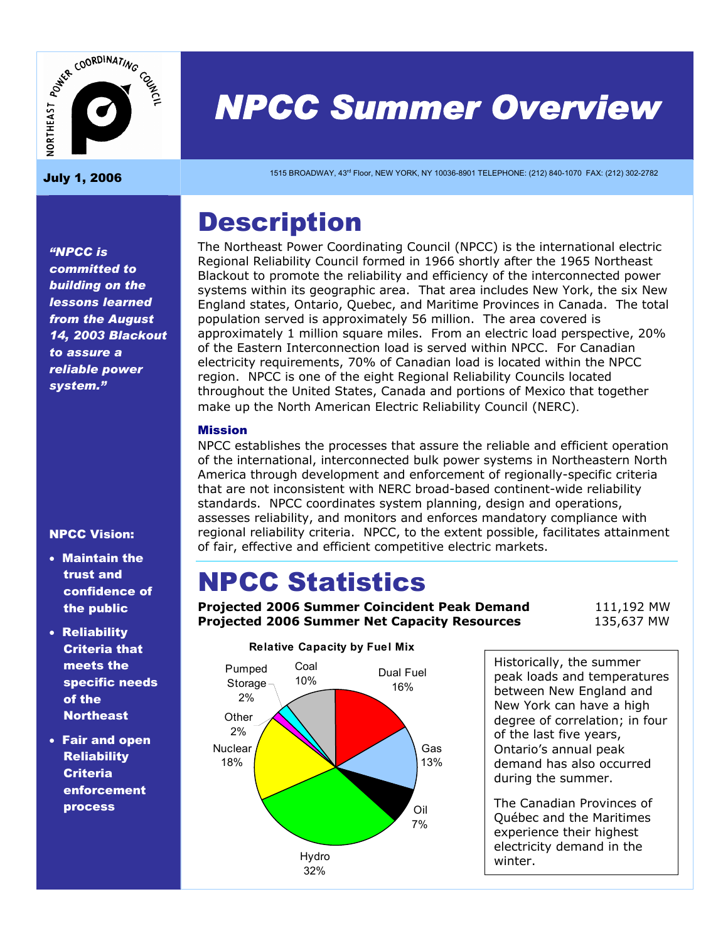

# *NPCC Summer Overview*   $\sum_{\substack{1200 \text{ g} \text{ is a}} \\ \text{July 1, 2006}}$   $\sum_{\substack{1515 \text{ BROADWAY, 43° Floor, NFW YORK, NY 10036-8901 TELEPHONE: (212) 840-1070 FAX: (212) 302-2782}}$

## **Description**

The Northeast Power Coordinating Council (NPCC) is the international electric Regional Reliability Council formed in 1966 shortly after the 1965 Northeast Blackout to promote the reliability and efficiency of the interconnected power systems within its geographic area. That area includes New York, the six New England states, Ontario, Quebec, and Maritime Provinces in Canada. The total population served is approximately 56 million. The area covered is approximately 1 million square miles. From an electric load perspective, 20% of the Eastern Interconnection load is served within NPCC. For Canadian electricity requirements, 70% of Canadian load is located within the NPCC region. NPCC is one of the eight Regional Reliability Councils located throughout the United States, Canada and portions of Mexico that together make up the North American Electric Reliability Council (NERC).

#### Mission

NPCC establishes the processes that assure the reliable and efficient operation of the international, interconnected bulk power systems in Northeastern North America through development and enforcement of regionally-specific criteria that are not inconsistent with NERC broad-based continent-wide reliability standards. NPCC coordinates system planning, design and operations, assesses reliability, and monitors and enforces mandatory compliance with regional reliability criteria. NPCC, to the extent possible, facilitates attainment of fair, effective and efficient competitive electric markets.

## NPCC Statistics

**Projected 2006 Summer Coincident Peak Demand** 111,192 MW **Projected 2006 Summer Net Capacity Resources** 135,637 MW



#### **Relative Capacity by Fuel Mix**

Historically, the summer peak loads and temperatures between New England and New York can have a high degree of correlation; in four of the last five years, Ontario's annual peak demand has also occurred during the summer.

The Canadian Provinces of Québec and the Maritimes experience their highest electricity demand in the winter.

*"NPCC is committed to building on the lessons learned from the August 14, 2003 Blackout to assure a reliable power system."* 

#### NPCC Vision:

- Maintain the trust and confidence of the public
- Reliability Criteria that meets the specific needs of the **Northeast**
- Fair and open **Reliability Criteria** enforcement process